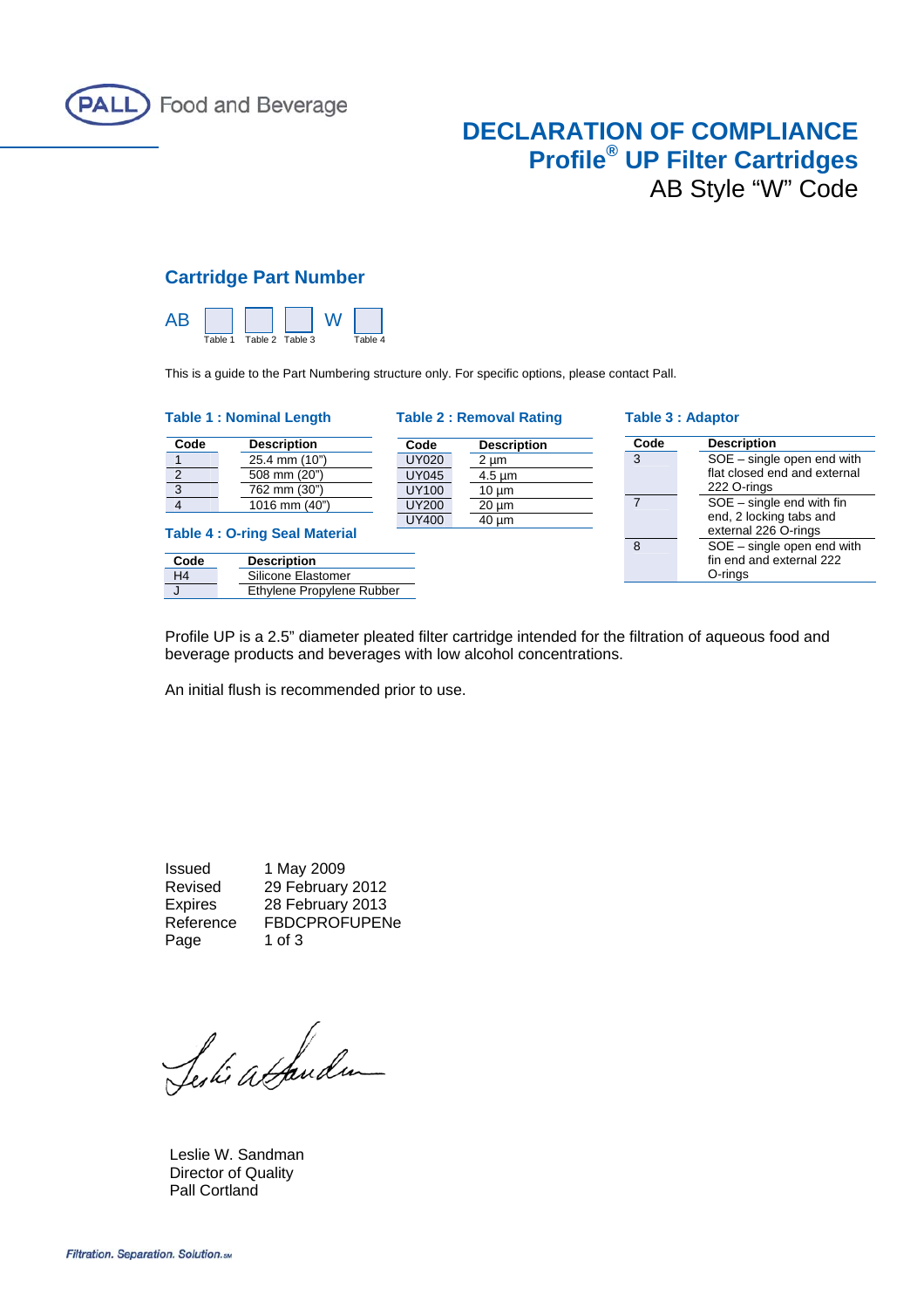

## **DECLARATION OF COMPLIANCE Profile® UP Filter Cartridges** AB Style "W" Code

## **Cartridge Part Number**



This is a guide to the Part Numbering structure only. For specific options, please contact Pall.

#### **Table 1 : Nominal Length Table 2 : Removal Rating Table 3 : Adaptor**

| Code | <b>Description</b> |
|------|--------------------|
|      | 25.4 mm (10")      |
| 2    | 508 mm (20")       |
| 3    | 762 mm (30")       |
|      | 1016 mm (40")      |

**Table 4 : O-ring Seal Material**

| Code | <b>Description</b>        |  |
|------|---------------------------|--|
| H4   | Silicone Elastomer        |  |
|      | Ethylene Propylene Rubber |  |

# **Code Description**

UY020 2 µm UY045 4.5 µm UY100 10 µm

UY200 20 µm UY400 40 µm

| Code           | <b>Description</b>           |
|----------------|------------------------------|
| 3              | SOE - single open end with   |
|                | flat closed end and external |
|                | 222 O-rings                  |
| $\overline{7}$ | $SOE - single$ end with fin  |
|                | end, 2 locking tabs and      |
|                | external 226 O-rings         |
| 8              | $SOE - single$ open end with |
|                | fin end and external 222     |
|                | O-rings                      |

Profile UP is a 2.5" diameter pleated filter cartridge intended for the filtration of aqueous food and beverage products and beverages with low alcohol concentrations.

An initial flush is recommended prior to use.

Issued 1 May 2009 Revised 29 February 2012 Expires 28 February 2013 Reference FBDCPROFUPENe Page 1 of 3

Serki atbudu

 Leslie W. Sandman Director of Quality Pall Cortland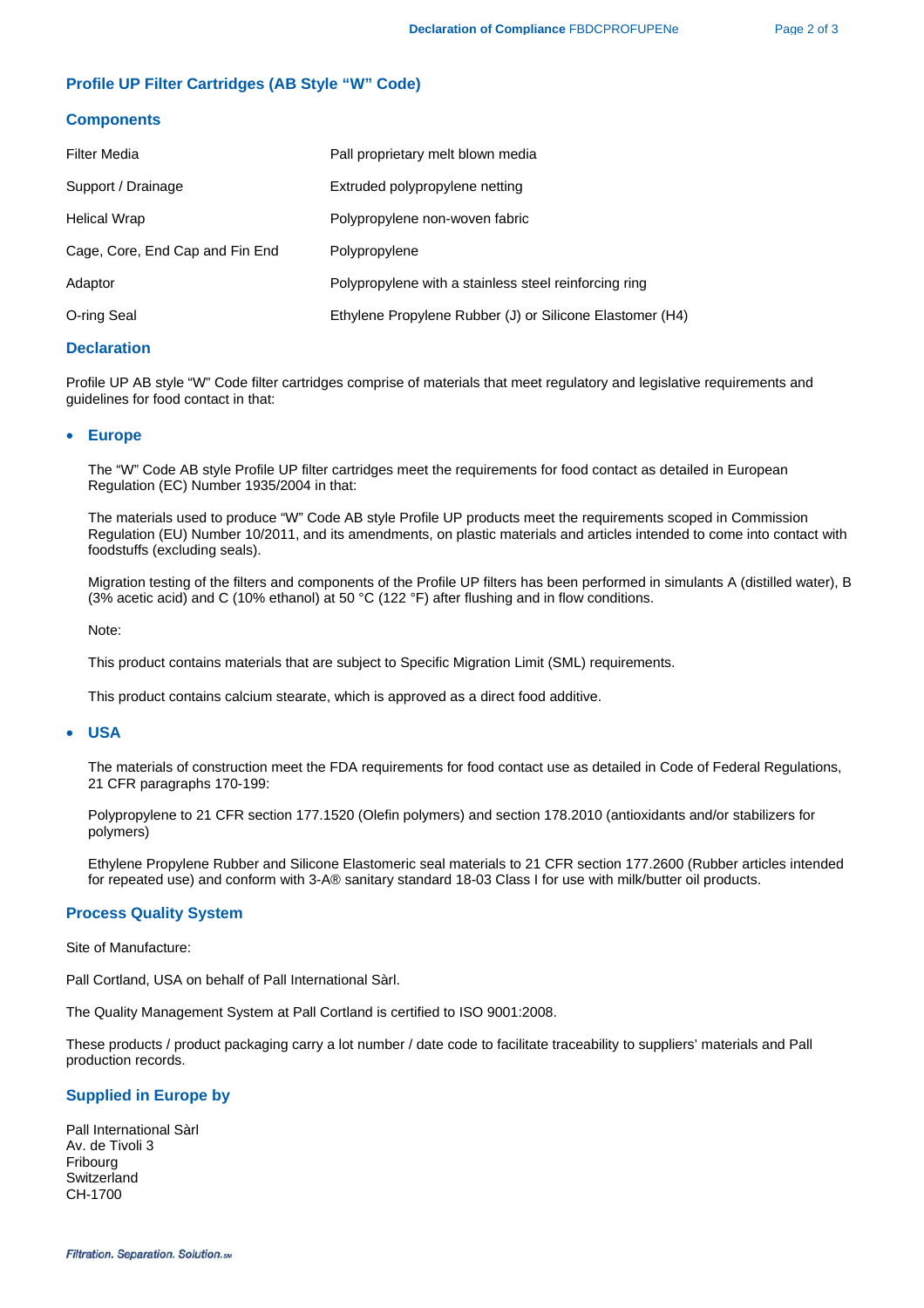### **Profile UP Filter Cartridges (AB Style "W" Code)**

#### **Components**

| Filter Media                    | Pall proprietary melt blown media                        |
|---------------------------------|----------------------------------------------------------|
| Support / Drainage              | Extruded polypropylene netting                           |
| Helical Wrap                    | Polypropylene non-woven fabric                           |
| Cage, Core, End Cap and Fin End | Polypropylene                                            |
| Adaptor                         | Polypropylene with a stainless steel reinforcing ring    |
| O-ring Seal                     | Ethylene Propylene Rubber (J) or Silicone Elastomer (H4) |

#### **Declaration**

Profile UP AB style "W" Code filter cartridges comprise of materials that meet regulatory and legislative requirements and guidelines for food contact in that:

#### • **Europe**

The "W" Code AB style Profile UP filter cartridges meet the requirements for food contact as detailed in European Regulation (EC) Number 1935/2004 in that:

The materials used to produce "W" Code AB style Profile UP products meet the requirements scoped in Commission Regulation (EU) Number 10/2011, and its amendments, on plastic materials and articles intended to come into contact with foodstuffs (excluding seals).

Migration testing of the filters and components of the Profile UP filters has been performed in simulants A (distilled water), B (3% acetic acid) and C (10% ethanol) at 50 °C (122 °F) after flushing and in flow conditions.

Note:

This product contains materials that are subject to Specific Migration Limit (SML) requirements.

This product contains calcium stearate, which is approved as a direct food additive.

#### • **USA**

The materials of construction meet the FDA requirements for food contact use as detailed in Code of Federal Regulations, 21 CFR paragraphs 170-199:

Polypropylene to 21 CFR section 177.1520 (Olefin polymers) and section 178.2010 (antioxidants and/or stabilizers for polymers)

 Ethylene Propylene Rubber and Silicone Elastomeric seal materials to 21 CFR section 177.2600 (Rubber articles intended for repeated use) and conform with 3-A® sanitary standard 18-03 Class I for use with milk/butter oil products.

#### **Process Quality System**

Site of Manufacture:

Pall Cortland, USA on behalf of Pall International Sàrl.

The Quality Management System at Pall Cortland is certified to ISO 9001:2008.

These products / product packaging carry a lot number / date code to facilitate traceability to suppliers' materials and Pall production records.

#### **Supplied in Europe by**

Pall International Sàrl Av. de Tivoli 3 Fribourg **Switzerland** CH-1700